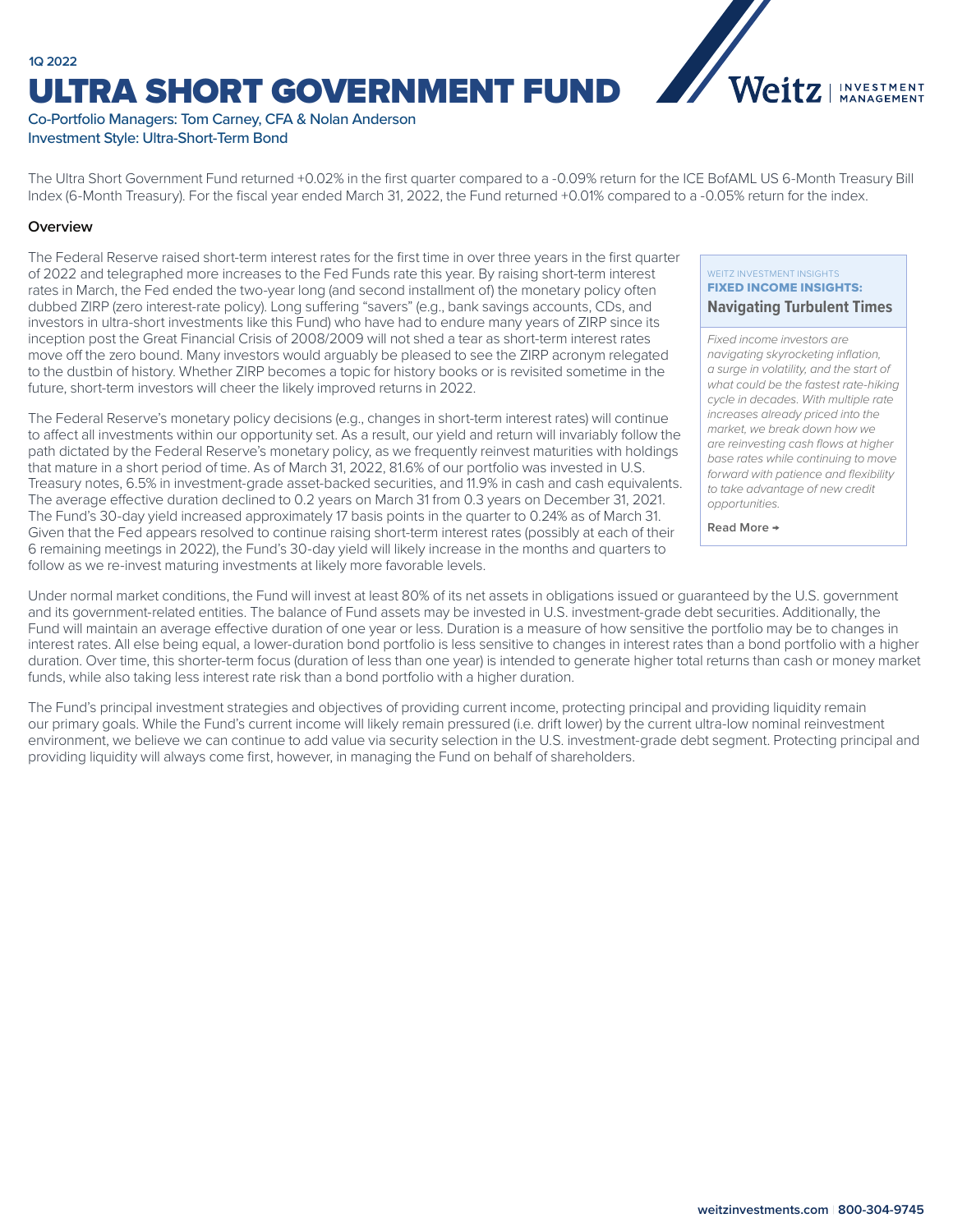## **1Q 2022** ULTRA SHORT GOVERNMENT FUND



## Co-Portfolio Managers: Tom Carney, CFA & Nolan Anderson Investment Style: Ultra-Short-Term Bond

The Ultra Short Government Fund returned +0.02% in the first quarter compared to a -0.09% return for the ICE BofAML US 6-Month Treasury Bill Index (6-Month Treasury). For the fiscal year ended March 31, 2022, the Fund returned +0.01% compared to a -0.05% return for the index.

## **Overview**

The Federal Reserve raised short-term interest rates for the first time in over three years in the first quarter of 2022 and telegraphed more increases to the Fed Funds rate this year. By raising short-term interest rates in March, the Fed ended the two-year long (and second installment of) the monetary policy often dubbed ZIRP (zero interest-rate policy). Long suffering "savers" (e.g., bank savings accounts, CDs, and investors in ultra-short investments like this Fund) who have had to endure many years of ZIRP since its inception post the Great Financial Crisis of 2008/2009 will not shed a tear as short-term interest rates move off the zero bound. Many investors would arguably be pleased to see the ZIRP acronym relegated to the dustbin of history. Whether ZIRP becomes a topic for history books or is revisited sometime in the future, short-term investors will cheer the likely improved returns in 2022.

The Federal Reserve's monetary policy decisions (e.g., changes in short-term interest rates) will continue to affect all investments within our opportunity set. As a result, our yield and return will invariably follow the path dictated by the Federal Reserve's monetary policy, as we frequently reinvest maturities with holdings that mature in a short period of time. As of March 31, 2022, 81.6% of our portfolio was invested in U.S. Treasury notes, 6.5% in investment-grade asset-backed securities, and 11.9% in cash and cash equivalents. The average effective duration declined to 0.2 years on March 31 from 0.3 years on December 31, 2021. The Fund's 30-day yield increased approximately 17 basis points in the quarter to 0.24% as of March 31. Given that the Fed appears resolved to continue raising short-term interest rates (possibly at each of their 6 remaining meetings in 2022), the Fund's 30-day yield will likely increase in the months and quarters to follow as we re-invest maturing investments at likely more favorable levels.

#### WEITZ INVESTMENT INSIGHTS FIXED INCOME INSIGHTS: **[Navigating Turbulent Times](https://weitzinvestments.com/perspectives/investment-insights/a-163/navigating-turbulent-times.fs)**

*Fixed income investors are navigating skyrocketing inflation, a surge in volatility, and the start of what could be the fastest rate-hiking cycle in decades. With multiple rate increases already priced into the market, we break down how we are reinvesting cash flows at higher base rates while continuing to move forward with patience and flexibility to take advantage of new credit opportunities.*

**Read More →**

Under normal market conditions, the Fund will invest at least 80% of its net assets in obligations issued or guaranteed by the U.S. government and its government-related entities. The balance of Fund assets may be invested in U.S. investment-grade debt securities. Additionally, the Fund will maintain an average effective duration of one year or less. Duration is a measure of how sensitive the portfolio may be to changes in interest rates. All else being equal, a lower-duration bond portfolio is less sensitive to changes in interest rates than a bond portfolio with a higher duration. Over time, this shorter-term focus (duration of less than one year) is intended to generate higher total returns than cash or money market funds, while also taking less interest rate risk than a bond portfolio with a higher duration.

The Fund's principal investment strategies and objectives of providing current income, protecting principal and providing liquidity remain our primary goals. While the Fund's current income will likely remain pressured (i.e. drift lower) by the current ultra-low nominal reinvestment environment, we believe we can continue to add value via security selection in the U.S. investment-grade debt segment. Protecting principal and providing liquidity will always come first, however, in managing the Fund on behalf of shareholders.